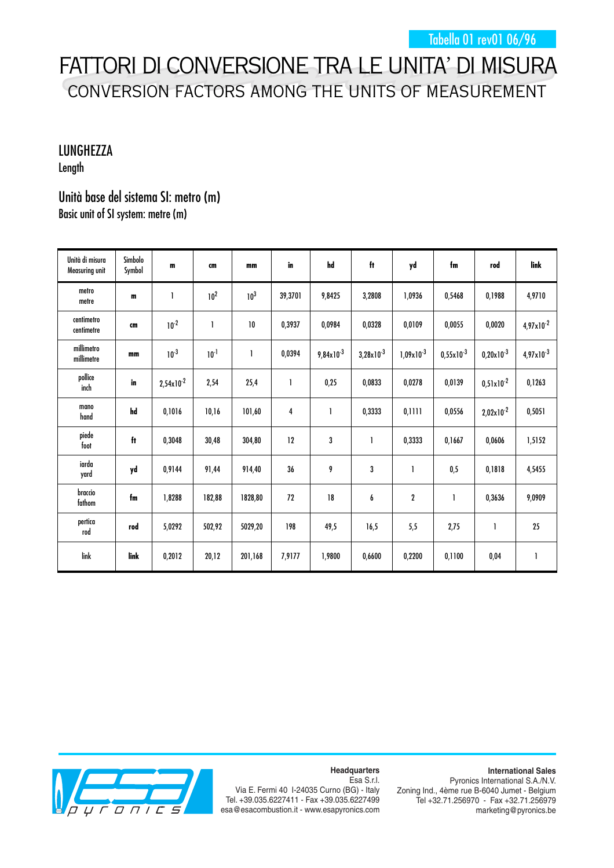## FATTORI DI CONVERSIONE TRA LE UNITA' DI MISURA CONVERSION FACTORS AMONG THE UNITS OF MEASUREMENT

## LUNGHEZZA

Length

## Unità base del sistema SI: metro (m) Basic unit of SI system: metre (m)

| Unità di misura<br>Measuring unit | Simbolo<br>Symbol   | $\mathbf m$           | cm              | mm              | in      | hd                    | ft                    | yd               | fm             | rod            | link                  |
|-----------------------------------|---------------------|-----------------------|-----------------|-----------------|---------|-----------------------|-----------------------|------------------|----------------|----------------|-----------------------|
| metro<br>metre                    | $\mathbf{m}$        | 1                     | 10 <sup>2</sup> | 10 <sup>3</sup> | 39,3701 | 9,8425                | 3,2808                | 1,0936           | 0,5468         | 0,1988         | 4,9710                |
| centimetro<br>centimetre          | cm                  | $10^{-2}$             | 1               | 10              | 0,3937  | 0,0984                | 0,0328                | 0,0109           | 0,0055         | 0,0020         | $4,97 \times 10^{-2}$ |
| millimetro<br>millimetre          | mm                  | $10^{-3}$             | $10^{-1}$       | 1               | 0,0394  | $9,84 \times 10^{-3}$ | $3,28 \times 10^{-3}$ | $1,09x10^{-3}$   | $0,55x10^{-3}$ | $0,20x10^{-3}$ | $4,97 \times 10^{-3}$ |
| pollice<br>inch                   | in                  | $2,54 \times 10^{-2}$ | 2,54            | 25,4            | 1       | 0,25                  | 0,0833                | 0,0278           | 0,0139         | $0,51x10^{-2}$ | 0,1263                |
| mano<br>hand                      | hd                  | 0,1016                | 10,16           | 101,60          | 4       |                       | 0,3333                | 0,1111           | 0,0556         | $2,02x10^{-2}$ | 0,5051                |
| piede<br>foot                     | $\ddot{\mathbf{t}}$ | 0,3048                | 30,48           | 304,80          | 12      | 3                     |                       | 0,3333           | 0,1667         | 0,0606         | 1,5152                |
| iarda<br>yard                     | yd                  | 0,9144                | 91,44           | 914,40          | 36      | 9                     | 3                     | 1                | 0,5            | 0,1818         | 4,5455                |
| braccio<br>fathom                 | fm                  | 1,8288                | 182,88          | 1828,80         | 72      | 18                    | 6                     | $\boldsymbol{2}$ | 1              | 0,3636         | 9,0909                |
| pertica<br>rod                    | rod                 | 5,0292                | 502,92          | 5029,20         | 198     | 49,5                  | 16,5                  | 5,5              | 2,75           | 1              | 25                    |
| link                              | link                | 0,2012                | 20,12           | 201,168         | 7,9177  | 1,9800                | 0,6600                | 0,2200           | 0,1100         | 0,04           | $\mathbf{I}$          |



**Headquarters** Esa S.r.l.

Via E. Fermi 40 I-24035 Curno (BG) - Italy Tel. +39.035.6227411 - Fax +39.035.6227499 esa@esacombustion.it - www.esapyronics.com

**International Sales** Pyronics International S.A./N.V. Zoning Ind., 4ème rue B-6040 Jumet - Belgium Tel +32.71.256970 - Fax +32.71.256979 marketing@pyronics.be